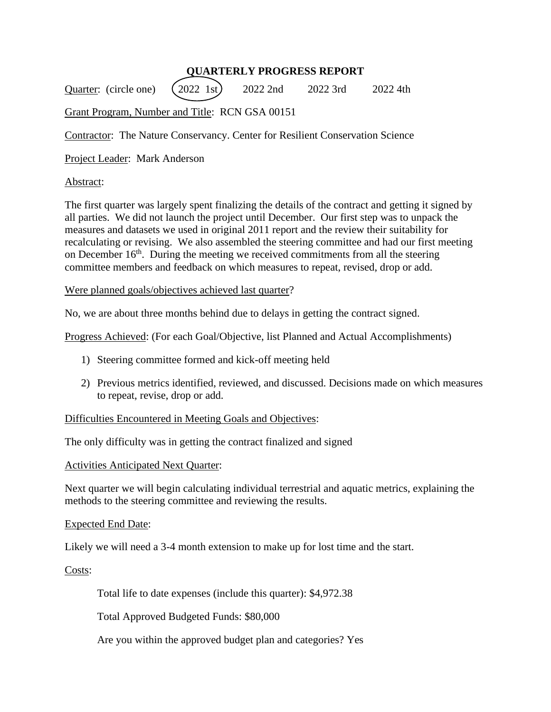# **QUARTERLY PROGRESS REPORT**

Quarter: (circle one)  $(2022 \text{ 1st})$  2022 2nd 2022 3rd 2022 4th

Grant Program, Number and Title: RCN GSA 00151

Contractor: The Nature Conservancy. Center for Resilient Conservation Science

Project Leader: Mark Anderson

## Abstract:

The first quarter was largely spent finalizing the details of the contract and getting it signed by all parties. We did not launch the project until December. Our first step was to unpack the measures and datasets we used in original 2011 report and the review their suitability for recalculating or revising. We also assembled the steering committee and had our first meeting on December  $16<sup>th</sup>$ . During the meeting we received commitments from all the steering committee members and feedback on which measures to repeat, revised, drop or add.

### Were planned goals/objectives achieved last quarter?

No, we are about three months behind due to delays in getting the contract signed.

Progress Achieved: (For each Goal/Objective, list Planned and Actual Accomplishments)

- 1) Steering committee formed and kick-off meeting held
- 2) Previous metrics identified, reviewed, and discussed. Decisions made on which measures to repeat, revise, drop or add.

## Difficulties Encountered in Meeting Goals and Objectives:

The only difficulty was in getting the contract finalized and signed

#### Activities Anticipated Next Quarter:

Next quarter we will begin calculating individual terrestrial and aquatic metrics, explaining the methods to the steering committee and reviewing the results.

#### Expected End Date:

Likely we will need a 3-4 month extension to make up for lost time and the start.

Costs:

Total life to date expenses (include this quarter): \$4,972.38

Total Approved Budgeted Funds: \$80,000

Are you within the approved budget plan and categories? Yes